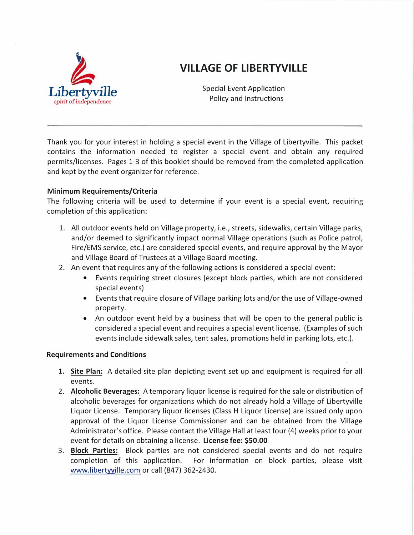

# **VILLAGE OF LIBERTYVILLE**

Special Event Application Policy and Instructions *Libertyville* 

Thank you for your interest in holding a special event in the Village of Libertyville. This packet contains the information needed to register a special event and obtain any required permits/licenses. Pages 1-3 of this booklet should be removed from the completed application and kept by the event organizer for reference.

### **Minimum Requirements/Criteria**

The following criteria will be used to determine if your event is a special event, requiring completion of this application:

- 1. All outdoor events held on Village property, i.e., streets, sidewalks, certain Village parks, and/or deemed to significantly impact normal Village operations (such as Police patrol, Fire/EMS service, etc.) are considered special events, and require approval by the Mayor and Village Board of Trustees at a Village Board meeting.
- 2. An event that requires any of the following actions is considered a special event:
	- Events requiring street closures (except block parties, which are not considered special events)
	- Events that require closure of Village parking lots and/or the use of Village-owned property.
	- An outdoor event held by a business that will be open to the general public is considered a special event and requires a special event license. (Examples of such events include sidewalk sales, tent sales, promotions held in parking lots, etc.).

### **Requirements and Conditions**

- 1. **Site Plan:** A detailed site plan depicting event set up and equipment is required for all events.
- 2. **Alcoholic Beverages:** A temporary liquor license is required for the sale or distribution of alcoholic beverages for organizations which do not already hold a Village of Libertyville Liquor License. Temporary liquor licenses (Class H Liquor License) are issued only upon approval of the Liquor License Commissioner and can be obtained from the Village Administrator's office. Please contact the Village Hall at least four (4) weeks prior to your event for details on obtaining a license. **License fee: \$50.00**
- 3. **Block Parties:** Block parties are not considered special events and do not require completion of this application. For information on block parties, please visit www.libertyville.com or call (847) 362-2430.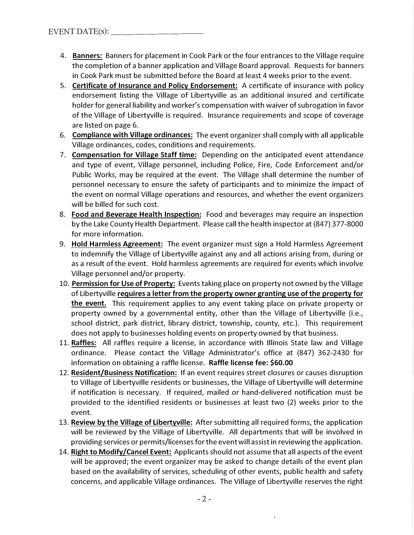- 4. **Banners:** Banners for placement in Cook Park or the four entrances to the Village require the completion of a banner application and Village Board approval. Requests for banners in Cook Park must be submitted before the Board at least 4 weeks prior to the event.
- 5. **Certificate of Insurance and Policy Endorsement:** A certificate of insurance with policy endorsement listing the Village of Libertyville as an additional insured and certificate holder for general liability and worker's compensation with waiver of subrogation in favor of the Village of Libertyville is required. Insurance requirements and scope of coverage are listed on page 6.
- 6. **Compliance with Village ordinances:** The event organizer shall comply with all applicable Village ordinances, codes, conditions and requirements.
- 7. **Compensation for Village Staff time:** Depending on the anticipated event attendance and type of event, Village personnel, including Police, Fire, Code Enforcement and/or Public Works, may be required at the event. The Village shall determine the number of personnel necessary to ensure the safety of participants and to minimize the impact of the event on normal Village operations and resources, and whether the event organizers will be billed for such cost.
- 8. **Food and Beverage Health Inspection:** Food and beverages may require an inspection by the Lake County Health Department. Please call the health inspector at (847) 377-8000 for more information.
- 9. **Hold Harmless Agreement:** The event organizer must sign a Hold Harmless Agreement to indemnify the Village of Libertyville against any and all actions arising from, during or as a result of the event. Hold harmless agreements are required for events which involve Village personnel and/or property.
- 10. **Permission for Use of Property:** Events taking place on property not owned by the Village of Libertyville **requires a letter from the property owner granting use of the property for the event.** This requirement applies to any event taking place on private property or property owned by a governmental entity, other than the Village of Libertyville (i.e., school district, park district, library district, township, county, etc.). This requirement does not apply to businesses holding events on property owned by that business.
- 11. **Raffles:** All raffles require a license, in accordance with Illinois State law and Village ordinance. Please contact the Village Administrator's office at (847) 362-2430 for information on obtaining a raffle license. **Raffle license fee: \$60.00**
- 12. **Resident/Business Notification:** If an event requires street closures or causes disruption to Village of Libertyville residents or businesses, the Village of Libertyville will determine if notification is necessary. If required, mailed or hand-delivered notification must be provided to the identified residents or businesses at least two (2) weeks prior to the event.
- 13. **Review by the Village of Libertyville:** After submitting all required forms, the application will be reviewed by the Village of Libertyville. All departments that will be involved in providing services or permits/licenses for the event will assist in reviewing the application.
- 14. **Right to Modify/Cancel Event:** Applicants should not assume that all aspects of the event will be approved; the event organizer may be asked to change details of the event plan based on the availability of services, scheduling of other events, public health and safety concerns, and applicable Village ordinances. The Village of Libertyville reserves the right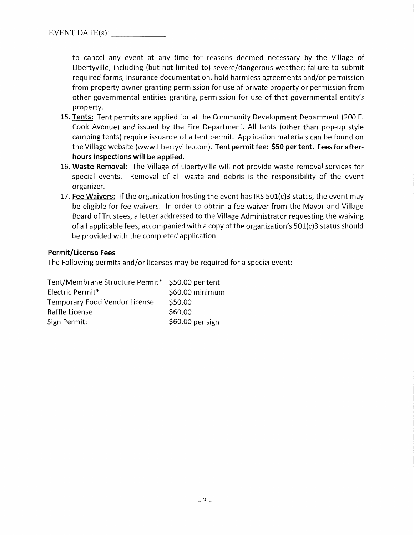to cancel any event at any time for reasons deemed necessary by the Village of Libertyville, including (but not limited to) severe/dangerous weather; failure to submit required forms, insurance documentation, hold harmless agreements and/or permission from property owner granting permission for use of private property or permission from other governmental entities granting permission for use of that governmental entity's property.

- 15. Tents: Tent permits are applied for at the Community Development Department (200 E. Cook Avenue) and issued by the Fire Department. All tents (other than pop-up style camping tents) require issuance of a tent permit. Application materials can be found on the Village website (www.libertyville.com). Tent permit fee: \$50 per tent. Fees for afterhours inspections will be applied.
- 16. Waste Removal: The Village of Libertyville will not provide waste removal services for special events. Removal of all waste and debris is the responsibility of the event organizer.
- 17. Fee Waivers: If the organization hosting the event has IRS  $501(c)$ 3 status, the event may be eligible for fee waivers. In order to obtain a fee waiver from the Mayor and Village Board of Trustees, a letter addressed to the Village Administrator requesting the waiving of all applicable fees, accompanied with a copy of the organization's 501(c)3 status should be provided with the completed application.

### Permit/License Fees

The Following permits and/or licenses may be required for a special event:

| Tent/Membrane Structure Permit* \$50.00 per tent |                  |
|--------------------------------------------------|------------------|
| Electric Permit*                                 | \$60.00 minimum  |
| <b>Temporary Food Vendor License</b>             | \$50.00          |
| Raffle License                                   | \$60.00          |
| Sign Permit:                                     | \$60.00 per sign |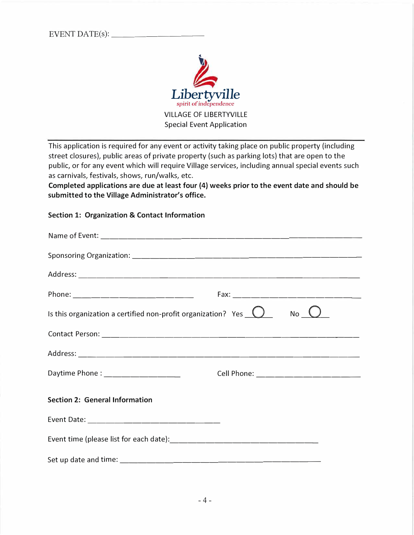EVENT DATE(s):



This application is required for any event or activity taking place on public property (including street closures), public areas of private property (such as parking lots) that are open to the public, or for any event which will require Village services, including annual special events such as carnivals, festivals, shows, run/walks, etc.

**Completed applications are due at least four (4) weeks prior to the event date and should be submitted to the Village Administrator's office.** 

### **Section 1: Organization & Contact Information**

| Is this organization a certified non-profit organization? Yes $\Box$ | $No$ $O$                          |
|----------------------------------------------------------------------|-----------------------------------|
|                                                                      |                                   |
|                                                                      |                                   |
| Daytime Phone : _________________                                    | Cell Phone: _____________________ |
| <b>Section 2: General Information</b>                                |                                   |
|                                                                      |                                   |
|                                                                      |                                   |
|                                                                      |                                   |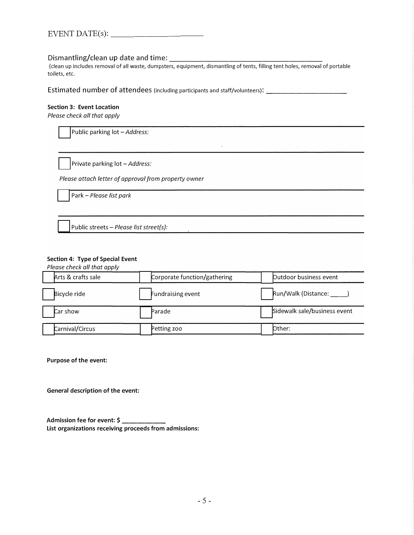| EVENT DATE(s): |
|----------------|
|----------------|

### Dismantling/clean up date and time:

(clean up includes removal of all waste, dumpsters, equipment, dismantling of tents, filling tent holes, removal of portable toilets, etc.

**Estimated number of attendees** (including participants and staff/volunteers): \_\_\_\_\_\_\_\_\_\_\_\_\_\_\_\_\_\_\_\_

#### **Section 3: Event Location**

*Please check all that apply* 

Public parking lot - Address:

Private parking lot - Address:

*Please attach letter of approval from property owner* 

□ Park - *Please list park*

Public streets - *Please list street(s)*:

#### **Section 4: Type of Special Event**

*Please check all that apply* 

| Arts & crafts sale | Corporate function/gathering | Outdoor business event       |
|--------------------|------------------------------|------------------------------|
| Bicycle ride       | Fundraising event            | Run/Walk (Distance: 1997)    |
| Car show           | Parade                       | Sidewalk sale/business event |
| Carnival/Circus    | Petting zoo                  | Other:                       |

**Purpose of the event:** 

**General description of the event:** 

**Admission fee for event: \$ \_\_\_\_\_ \_ List organizations receiving proceeds from admissions:**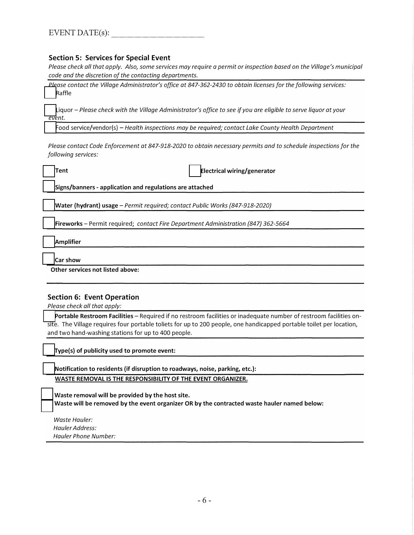### **Section 5: Services for Special Event**

Please check all that apply. Also, some services may require a permit or inspection based on the Village's municipal *code and the discretion of the contacting departments.* 

*Please contact the Village Administrator/s office at 847-362-2430 to obtain licenses for the following services:*  **Raffle** 

Liquor - Please check with the Village Administrator's office to see if you are eligible to serve liquor at your *event.*

□ Food service/vendor(s) - *Health inspections may be required; contact Lake County Health Department*

*Please contact Code Enforcement at 847-918-2020 to obtain necessary permits and to schedule inspections for the following services:* 

□ **Tent** □ **Electrical wiring/generator**

□ **Signs/banners - application and regulations are attached**

□ **Water (hydrant) usage -***Permit required; contact Public Works {847-918-2020)*

□ **Fireworks -** Permit required; *contact Fire Department Administration {847) 362-5664*

□ **Amplifier**

□ **Car show**

**Other services not listed above:** 

### **Section 6: Event Operation**

*Please check all that apply:* 

Portable Restroom Facilities - Required if no restroom facilities or inadequate number of restroom facilities onsite. The Village requires four portable toliets for up to 200 people, one handicapped portable toilet per location, and two hand-washing stations for up to 400 people.

□ **Type(s) of publicity used to promote event:**

**Notification to residents (if disruption to roadways, noise, parking, etc.): WASTE REMOVAL IS THE RESPONSIBILITY OF THE EVENT ORGANIZER.**

Waste removal will be provided by the host site. Waste will be removed by the event organizer OR by the contracted waste hauler named below:

*Waste Hauler: Hauler Address: Hauler Phone Number:*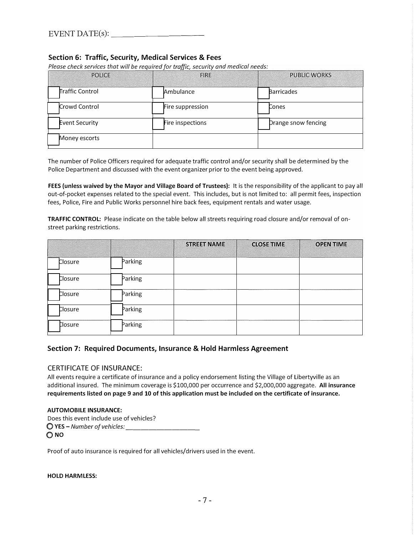### **Section 6: Traffic, Security, Medical Services & Fees**

Please check services that will be reauired for traffic, security and medical needs:

| <b>POLICE</b>         | <b>FIRE</b>      | <b>PUBLIC WORKS</b> |
|-----------------------|------------------|---------------------|
| Traffic Control       | Ambulance        | <b>Barricades</b>   |
| Crowd Control         | Fire suppression | Cones               |
| <b>Event Security</b> | Fire inspections | Drange snow fencing |
| Money escorts         |                  |                     |

The number of Police Officers required for adequate traffic control and/or security shall be determined by the Police Department and discussed with the event organizer prior to the event being approved.

**FEES (unless waived by the Mayor and Village Board of Trustees):** It is the responsibility of the applicant to pay all out-of-pocket expenses related to the special event. This includes, but is not limited to: all permit fees, inspection fees, Police, Fire and Public Works personnel hire back fees, equipment rentals and water usage.

**TRAFFIC CONTROL:** Please indicate on the table below all streets requiring road closure and/or removal of onstreet parking restrictions.

|                |         | <b>STREET NAME</b> | <b>CLOSE TIME</b> | <b>OPEN TIME</b> |
|----------------|---------|--------------------|-------------------|------------------|
| <b>Closure</b> | Parking |                    |                   |                  |
| Closure        | Parking |                    |                   |                  |
| Closure        | Parking |                    |                   |                  |
| Closure        | Parking |                    |                   |                  |
| Closure        | Parking |                    |                   |                  |

#### **Section 7: Required Documents, Insurance & Hold Harmless Agreement**

#### CERTIFICATE OF INSURANCE:

All events require a certificate of insurance and a policy endorsement listing the Village of Libertyville as an additional insured. The minimum coverage is \$100,000 per occurrence and \$2,000,000 aggregate. **All insurance requirements listed on page 9 and 10 of this application must be included on the certificate of insurance.** 

#### **AUTOMOBILE INSURANCE:**

Does this event include use of vehicles? □ *YES-Numberofvehicles: \_\_\_\_\_\_\_\_\_ \_* □ **NO**

Proof of auto insurance is required for all vehicles/drivers used in the event.

#### **HOLD HARMLESS:**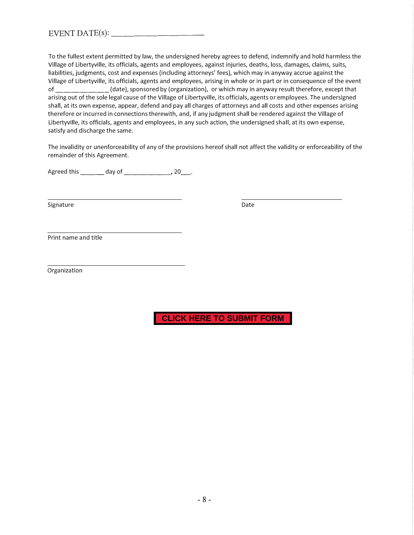To the fullest extent permitted by law, the undersigned hereby agrees to defend, indemnify and hold harmless the Village of Libertyville, its officials, agents and employees, against injuries, deaths, loss, damages, claims, suits, liabilities, judgments, cost and expenses (including attorneys' fees), which may in anyway accrue against the Village of Libertyville, its officials, agents and employees, arising in whole or in part or in consequence of the event of \_\_\_\_\_\_\_ (date), sponsored by (organization), or which may in anyway result therefore, except that arising out of the sole legal cause of the Village of Libertyville, its officials, agents or employees. The undersigned shall, at its own expense, appear, defend and pay all charges of attorneys and all costs and other expenses arising therefore or incurred in connections therewith, and, if any judgment shall be rendered against the Village of Libertyville, its officials, agents and employees, in any such action, the undersigned shall, at its own expense, satisfy and discharge the same.

The invalidity or unenforceability of any of the provisions hereof shall not affect the validity or enforceability of the remainder of this Agreement.

Agreed this  $\_\_\_\_$  day of  $\_\_\_\_$ , 20 $\_\_\_\.$ 

Signature Date Date Date Date Date

Print name and title

Organization

**CLICK HERE TO SUBMIT FORM**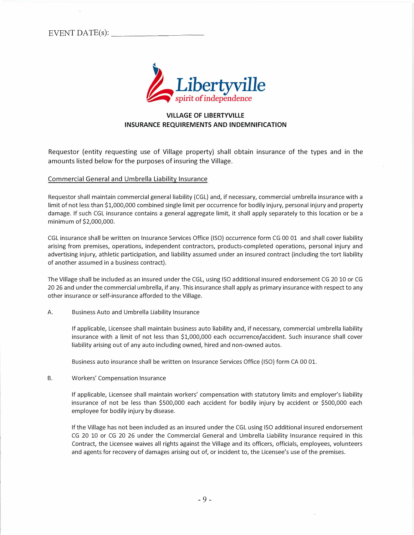EVENT DATE( s ) : \_\_\_\_\_\_\_ \_



### **VILLAGE OF LIBERTYVILLE INSURANCE REQUIREMENTS AND INDEMNIFICATION**

Requestor (entity requesting use of Village property) shall obtain insurance of the types and in the amounts listed below for the purposes of insuring the Village.

#### Commercial General and Umbrella Liability Insurance

Requestor shall maintain commercial general liability (CGL) and, if necessary, commercial umbrella insurance with a limit of not less than \$1,000,000 combined single limit per occurrence for bodily injury, personal injury and property damage. If such CGL insurance contains a general aggregate limit, it shall apply separately to this location or be a minimum of \$2,000,000.

CGL insurance shall be written on Insurance Services Office (ISO) occurrence form CG 00 01 and shall cover liability arising from premises, operations, independent contractors, products-completed operations, personal injury and advertising injury, athletic participation, and liability assumed under an insured contract (including the tort liability of another assumed in a business contract).

The Village shall be included as an insured under the CGL, using ISO additional insured endorsement CG 20 10 or CG 20 26 and under the commercial umbrella, if any. This insurance shall apply as primary insurance with respect to any other insurance or self-insurance afforded to the Village.

#### A. Business Auto and Umbrella Liability Insurance

If applicable, Licensee shall maintain business auto liability and, if necessary, commercial umbrella liability insurance with a limit of not less than \$1,000,000 each occurrence/accident. Such insurance shall cover liability arising out of any auto including owned, hired and non-owned autos.

Business auto insurance shall be written on Insurance Services Office (ISO) form CA 00 01.

B. Workers' Compensation Insurance

If applicable, Licensee shall maintain workers' compensation with statutory limits and employer's liability insurance of not be less than \$500,000 each accident for bodily injury by accident or \$500,000 each employee for bodily injury by disease.

If the Village has not been included as an insured under the CGL using ISO additional insured endorsement CG 20 10 or CG 20 26 under the Commercial General and Umbrella Liability Insurance required in this Contract, the Licensee waives all rights against the Village and its officers, officials, employees, volunteers and agents for recovery of damages arising out of, or incident to, the Licensee's use of the premises.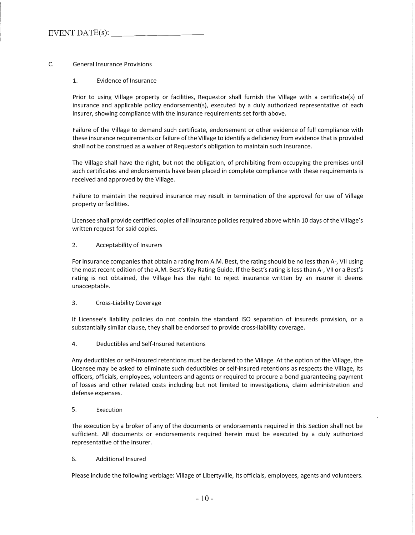### C. General Insurance Provisions

#### 1. Evidence of Insurance

Prior to using Village property or facilities, Requestor shall furnish the Village with a certificate(s) of insurance and applicable policy endorsement(s), executed by a duly authorized representative of each insurer, showing compliance with the insurance requirements set forth above.

Failure of the Village to demand such certificate, endorsement or other evidence of full compliance with these insurance requirements or failure of the Village to identify a deficiency from evidence that is provided shall not be construed as a waiver of Requestor's obligation to maintain such insurance.

The Village shall have the right, but not the obligation, of prohibiting from occupying the premises until such certificates and endorsements have been placed in complete compliance with these requirements is received and approved by the Village.

Failure to maintain the required insurance may result in termination of the approval for use of Village property or facilities.

Licensee shall provide certified copies of all insurance policies required above within 10 days of the Village's written request for said copies.

#### 2. Acceptability of Insurers

For insurance companies that obtain a rating from A.M. Best, the rating should be no less than A-, VII using the most recent edition of the A.M. Best's Key Rating Guide. If the Best's rating is less than A-, VII or a Best's rating is not obtained, the Village has the right to reject insurance written by an insurer it deems unacceptable.

#### 3. Cross-Liability Coverage

If Licensee's liability policies do not contain the standard ISO separation of insureds provision, or a substantially similar clause, they shall be endorsed to provide cross-liability coverage.

#### 4. Deductibles and Self-Insured Retentions

Any deductibles or self-insured retentions must be declared to the Village. At the option of the Village, the Licensee may be asked to eliminate such deductibles or self-insured retentions as respects the Village, its officers, officials, employees, volunteers and agents or required to procure a bond guaranteeing payment of losses and other related costs including but not limited to investigations, claim administration and defense expenses.

#### 5. Execution

The execution by a broker of any of the documents or endorsements required in this Section shall not be sufficient. All documents or endorsements required herein must be executed by a duly authorized representative of the insurer.

#### 6. Additional Insured

Please include the following verbiage: Village of Libertyville, its officials, employees, agents and volunteers.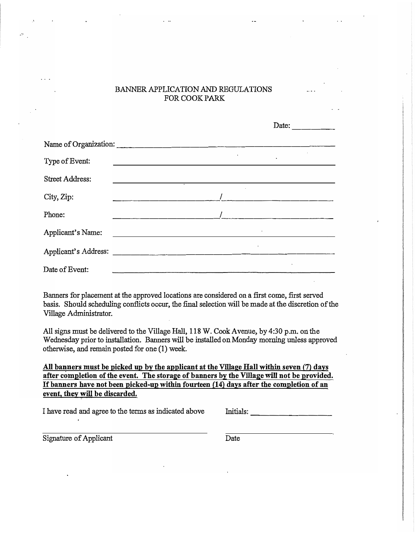## BANNER APPLICATION AND REGULATIONS FOR COOK PARK

|                        | Date:                  |
|------------------------|------------------------|
| Name of Organization:  |                        |
| Type of Event:         | $\bullet$<br>$\bullet$ |
| <b>Street Address:</b> |                        |
| City, Zip:             |                        |
| Phone:                 |                        |
| Applicant's Name:      |                        |
| Applicant's Address:   | $\bullet$              |
| Date of Event:         |                        |

Banners for placement at the approved locations are considered on a first come, first served basis. Should scheduling conflicts occur, the final selection will be made at the discretion of the Village Administrator.

All signs must be delivered to the Village Hall, 118 W. Cook Avenue, by 4:30 p.m. on the Wednesday prior to installation. Banners will be installed on Monday morning unless approved otherwise, and remain posted for one (1) week.

All banners must be picked up by the applicant at the Village Hall within seven (7) days after completion of the event. The storage of banners by the Village will not be provided. ff banners have not been picked-np within fourteen (14) days after the completion of an event, they will be discarded.

I have read and agree to the terms as indicated above Initials:

Signature of Applicant Date